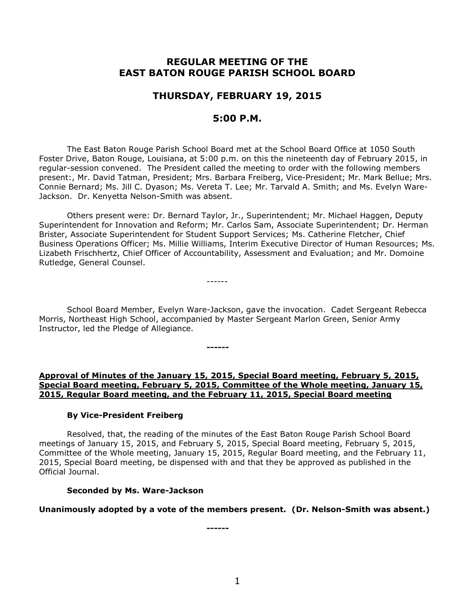# **REGULAR MEETING OF THE EAST BATON ROUGE PARISH SCHOOL BOARD**

# **THURSDAY, FEBRUARY 19, 2015**

## **5:00 P.M.**

The East Baton Rouge Parish School Board met at the School Board Office at 1050 South Foster Drive, Baton Rouge, Louisiana, at 5:00 p.m. on this the nineteenth day of February 2015, in regular-session convened. The President called the meeting to order with the following members present:, Mr. David Tatman, President; Mrs. Barbara Freiberg, Vice-President; Mr. Mark Bellue; Mrs. Connie Bernard; Ms. Jill C. Dyason; Ms. Vereta T. Lee; Mr. Tarvald A. Smith; and Ms. Evelyn Ware-Jackson. Dr. Kenyetta Nelson-Smith was absent.

Others present were: Dr. Bernard Taylor, Jr., Superintendent; Mr. Michael Haggen, Deputy Superintendent for Innovation and Reform; Mr. Carlos Sam, Associate Superintendent; Dr. Herman Brister, Associate Superintendent for Student Support Services; Ms. Catherine Fletcher, Chief Business Operations Officer; Ms. Millie Williams, Interim Executive Director of Human Resources; Ms. Lizabeth Frischhertz, Chief Officer of Accountability, Assessment and Evaluation; and Mr. Domoine Rutledge, General Counsel.

School Board Member, Evelyn Ware-Jackson, gave the invocation. Cadet Sergeant Rebecca Morris, Northeast High School, accompanied by Master Sergeant Marlon Green, Senior Army Instructor, led the Pledge of Allegiance.

**------**

------

## **Approval of Minutes of the January 15, 2015, Special Board meeting, February 5, 2015, Special Board meeting, February 5, 2015, Committee of the Whole meeting, January 15, 2015, Regular Board meeting, and the February 11, 2015, Special Board meeting**

# **By Vice-President Freiberg**

Resolved, that, the reading of the minutes of the East Baton Rouge Parish School Board meetings of January 15, 2015, and February 5, 2015, Special Board meeting, February 5, 2015, Committee of the Whole meeting, January 15, 2015, Regular Board meeting, and the February 11, 2015, Special Board meeting, be dispensed with and that they be approved as published in the Official Journal.

# **Seconded by Ms. Ware-Jackson**

# **Unanimously adopted by a vote of the members present. (Dr. Nelson-Smith was absent.)**

**------**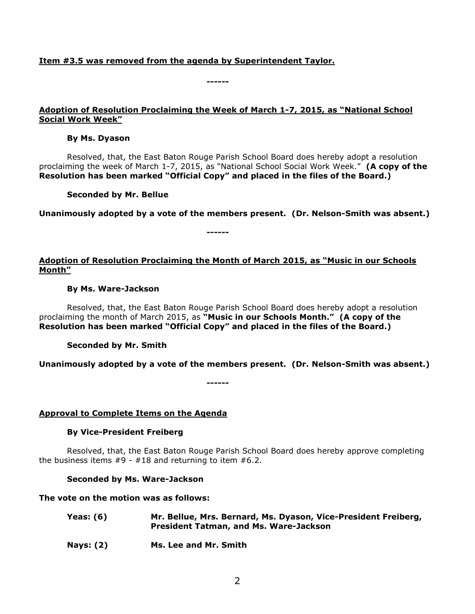### **Item #3.5 was removed from the agenda by Superintendent Taylor.**

#### **Adoption of Resolution Proclaiming the Week of March 1-7, 2015, as "National School Social Work Week"**

**------**

#### **By Ms. Dyason**

Resolved, that, the East Baton Rouge Parish School Board does hereby adopt a resolution proclaiming the week of March 1-7, 2015, as "National School Social Work Week." **(A copy of the Resolution has been marked "Official Copy" and placed in the files of the Board.)**

**Seconded by Mr. Bellue**

**Unanimously adopted by a vote of the members present. (Dr. Nelson-Smith was absent.)**

### **Adoption of Resolution Proclaiming the Month of March 2015, as "Music in our Schools Month"**

**------**

#### **By Ms. Ware-Jackson**

Resolved, that, the East Baton Rouge Parish School Board does hereby adopt a resolution proclaiming the month of March 2015, as **"Music in our Schools Month." (A copy of the Resolution has been marked "Official Copy" and placed in the files of the Board.)**

### **Seconded by Mr. Smith**

**Unanimously adopted by a vote of the members present. (Dr. Nelson-Smith was absent.)**

**------**

### **Approval to Complete Items on the Agenda**

#### **By Vice-President Freiberg**

Resolved, that, the East Baton Rouge Parish School Board does hereby approve completing the business items  $#9 - #18$  and returning to item  $#6.2$ .

### **Seconded by Ms. Ware-Jackson**

### **The vote on the motion was as follows:**

- **Yeas: (6) Mr. Bellue, Mrs. Bernard, Ms. Dyason, Vice-President Freiberg, President Tatman, and Ms. Ware-Jackson**
- **Nays: (2) Ms. Lee and Mr. Smith**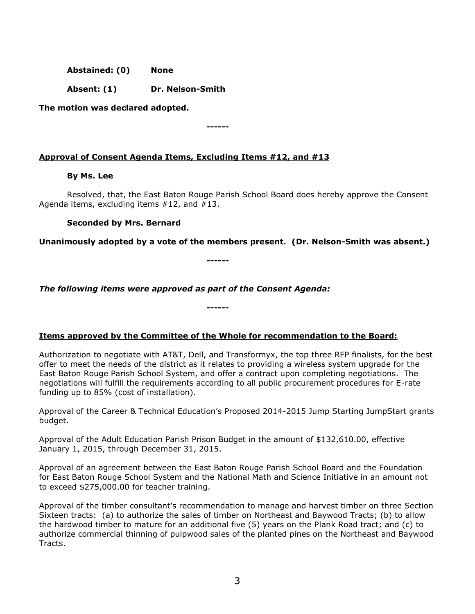**Abstained: (0) None**

**Absent: (1) Dr. Nelson-Smith**

**The motion was declared adopted.**

## **Approval of Consent Agenda Items, Excluding Items #12, and #13**

### **By Ms. Lee**

Resolved, that, the East Baton Rouge Parish School Board does hereby approve the Consent Agenda items, excluding items #12, and #13.

### **Seconded by Mrs. Bernard**

**Unanimously adopted by a vote of the members present. (Dr. Nelson-Smith was absent.)**

**------**

**------**

*The following items were approved as part of the Consent Agenda:*

**Items approved by the Committee of the Whole for recommendation to the Board:** 

**------**

Authorization to negotiate with AT&T, Dell, and Transformyx, the top three RFP finalists, for the best offer to meet the needs of the district as it relates to providing a wireless system upgrade for the East Baton Rouge Parish School System, and offer a contract upon completing negotiations. The negotiations will fulfill the requirements according to all public procurement procedures for E-rate funding up to 85% (cost of installation).

Approval of the Career & Technical Education's Proposed 2014-2015 Jump Starting JumpStart grants budget.

Approval of the Adult Education Parish Prison Budget in the amount of \$132,610.00, effective January 1, 2015, through December 31, 2015.

Approval of an agreement between the East Baton Rouge Parish School Board and the Foundation for East Baton Rouge School System and the National Math and Science Initiative in an amount not to exceed \$275,000.00 for teacher training.

Approval of the timber consultant's recommendation to manage and harvest timber on three Section Sixteen tracts: (a) to authorize the sales of timber on Northeast and Baywood Tracts; (b) to allow the hardwood timber to mature for an additional five (5) years on the Plank Road tract; and (c) to authorize commercial thinning of pulpwood sales of the planted pines on the Northeast and Baywood Tracts.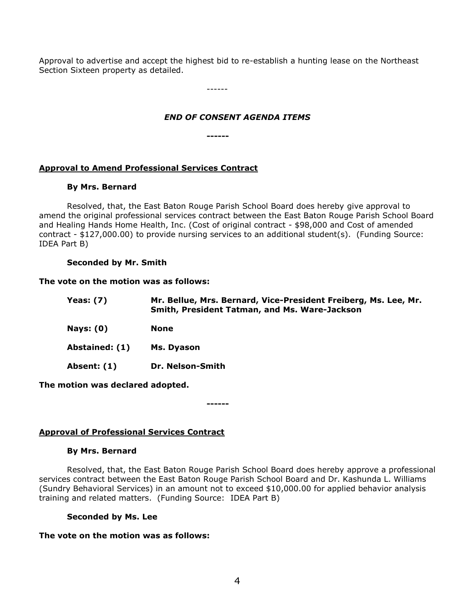Approval to advertise and accept the highest bid to re-establish a hunting lease on the Northeast Section Sixteen property as detailed.

------

## *END OF CONSENT AGENDA ITEMS*

**------**

## **Approval to Amend Professional Services Contract**

### **By Mrs. Bernard**

Resolved, that, the East Baton Rouge Parish School Board does hereby give approval to amend the original professional services contract between the East Baton Rouge Parish School Board and Healing Hands Home Health, Inc. (Cost of original contract - \$98,000 and Cost of amended contract - \$127,000.00) to provide nursing services to an additional student(s). (Funding Source: IDEA Part B)

### **Seconded by Mr. Smith**

### **The vote on the motion was as follows:**

| Yeas: $(7)$    | Mr. Bellue, Mrs. Bernard, Vice-President Freiberg, Ms. Lee, Mr.<br>Smith, President Tatman, and Ms. Ware-Jackson |
|----------------|------------------------------------------------------------------------------------------------------------------|
| Nays: $(0)$    | None                                                                                                             |
| Abstained: (1) | Ms. Dyason                                                                                                       |
| Absent: (1)    | Dr. Nelson-Smith                                                                                                 |

**The motion was declared adopted.**

**Approval of Professional Services Contract**

### **By Mrs. Bernard**

Resolved, that, the East Baton Rouge Parish School Board does hereby approve a professional services contract between the East Baton Rouge Parish School Board and Dr. Kashunda L. Williams (Sundry Behavioral Services) in an amount not to exceed \$10,000.00 for applied behavior analysis training and related matters. (Funding Source: IDEA Part B)

**------**

### **Seconded by Ms. Lee**

### **The vote on the motion was as follows:**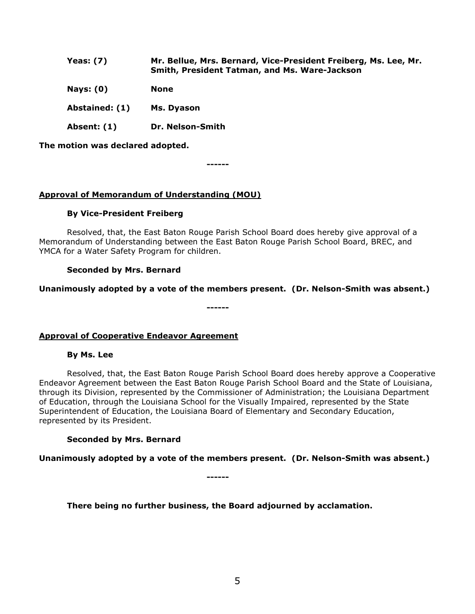| Yeas: $(7)$    | Mr. Bellue, Mrs. Bernard, Vice-President Freiberg, Ms. Lee, Mr.<br>Smith, President Tatman, and Ms. Ware-Jackson |
|----------------|------------------------------------------------------------------------------------------------------------------|
| Nays: $(0)$    | <b>None</b>                                                                                                      |
| Abstained: (1) | Ms. Dyason                                                                                                       |
| Absent: (1)    | Dr. Nelson-Smith                                                                                                 |

**The motion was declared adopted.**

**------**

### **Approval of Memorandum of Understanding (MOU)**

### **By Vice-President Freiberg**

Resolved, that, the East Baton Rouge Parish School Board does hereby give approval of a Memorandum of Understanding between the East Baton Rouge Parish School Board, BREC, and YMCA for a Water Safety Program for children.

### **Seconded by Mrs. Bernard**

**Unanimously adopted by a vote of the members present. (Dr. Nelson-Smith was absent.)**

**------**

**Approval of Cooperative Endeavor Agreement**

### **By Ms. Lee**

Resolved, that, the East Baton Rouge Parish School Board does hereby approve a Cooperative Endeavor Agreement between the East Baton Rouge Parish School Board and the State of Louisiana, through its Division, represented by the Commissioner of Administration; the Louisiana Department of Education, through the Louisiana School for the Visually Impaired, represented by the State Superintendent of Education, the Louisiana Board of Elementary and Secondary Education, represented by its President.

### **Seconded by Mrs. Bernard**

**Unanimously adopted by a vote of the members present. (Dr. Nelson-Smith was absent.)**

**------**

**There being no further business, the Board adjourned by acclamation.**